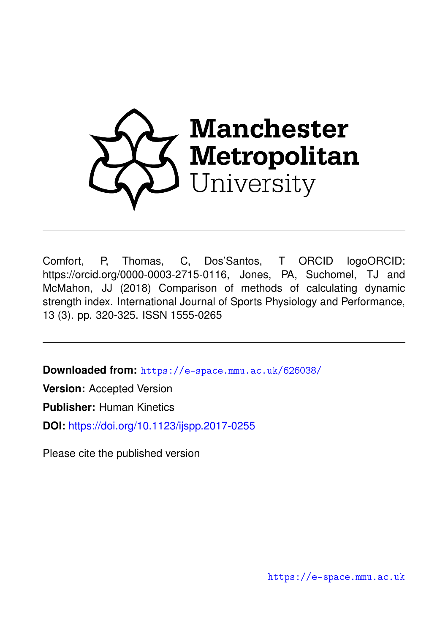

Comfort, P, Thomas, C, Dos'Santos, T ORCID logoORCID: https://orcid.org/0000-0003-2715-0116, Jones, PA, Suchomel, TJ and McMahon, JJ (2018) Comparison of methods of calculating dynamic strength index. International Journal of Sports Physiology and Performance, 13 (3). pp. 320-325. ISSN 1555-0265

**Downloaded from:** <https://e-space.mmu.ac.uk/626038/>

**Version:** Accepted Version

**Publisher:** Human Kinetics

**DOI:** <https://doi.org/10.1123/ijspp.2017-0255>

Please cite the published version

<https://e-space.mmu.ac.uk>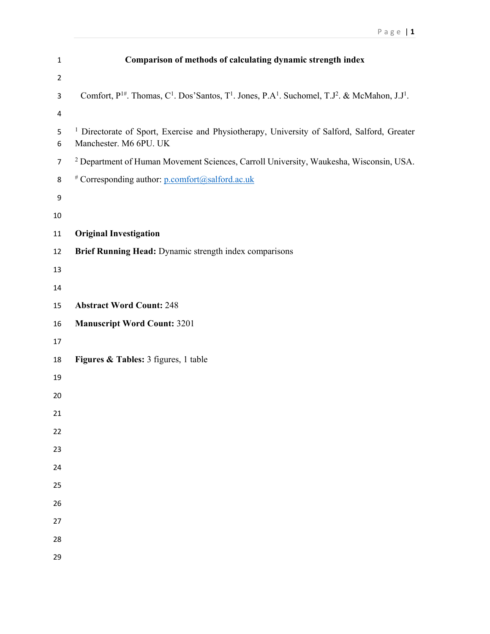| $\mathbf{1}$   | Comparison of methods of calculating dynamic strength index                                                                                                     |
|----------------|-----------------------------------------------------------------------------------------------------------------------------------------------------------------|
| $\overline{2}$ |                                                                                                                                                                 |
| $\mathsf{3}$   | Comfort, $P^{1\#}$ . Thomas, C <sup>1</sup> . Dos'Santos, T <sup>1</sup> . Jones, P.A <sup>1</sup> . Suchomel, T.J <sup>2</sup> . & McMahon, J.J <sup>1</sup> . |
| 4              |                                                                                                                                                                 |
| 5<br>6         | <sup>1</sup> Directorate of Sport, Exercise and Physiotherapy, University of Salford, Salford, Greater<br>Manchester. M6 6PU. UK                                |
| $\overline{7}$ | <sup>2</sup> Department of Human Movement Sciences, Carroll University, Waukesha, Wisconsin, USA.                                                               |
| 8              | # Corresponding author: p.comfort@salford.ac.uk                                                                                                                 |
| $\mathsf 9$    |                                                                                                                                                                 |
| $10\,$         |                                                                                                                                                                 |
| 11             | <b>Original Investigation</b>                                                                                                                                   |
| 12             | Brief Running Head: Dynamic strength index comparisons                                                                                                          |
| 13             |                                                                                                                                                                 |
| 14             |                                                                                                                                                                 |
| 15             | <b>Abstract Word Count: 248</b>                                                                                                                                 |
| 16             | <b>Manuscript Word Count: 3201</b>                                                                                                                              |
| 17             |                                                                                                                                                                 |
| 18             | Figures & Tables: 3 figures, 1 table                                                                                                                            |
| 19             |                                                                                                                                                                 |
| 20             |                                                                                                                                                                 |
| 21             |                                                                                                                                                                 |
| 22             |                                                                                                                                                                 |
| 23             |                                                                                                                                                                 |
| 24             |                                                                                                                                                                 |
| 25             |                                                                                                                                                                 |
| 26             |                                                                                                                                                                 |
| 27             |                                                                                                                                                                 |
| 28             |                                                                                                                                                                 |
| 29             |                                                                                                                                                                 |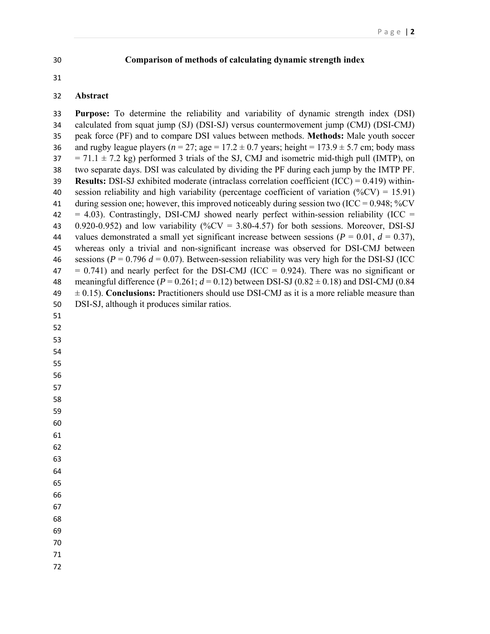#### **Comparison of methods of calculating dynamic strength index**

#### **Abstract**

 **Purpose:** To determine the reliability and variability of dynamic strength index (DSI) calculated from squat jump (SJ) (DSI-SJ) versus countermovement jump (CMJ) (DSI-CMJ) peak force (PF) and to compare DSI values between methods. **Methods:** Male youth soccer 36 and rugby league players ( $n = 27$ ; age  $= 17.2 \pm 0.7$  years; height  $= 173.9 \pm 5.7$  cm; body mass  $37 = 71.1 \pm 7.2$  kg) performed 3 trials of the SJ, CMJ and isometric mid-thigh pull (IMTP), on two separate days. DSI was calculated by dividing the PF during each jump by the IMTP PF. **Results:** DSI-SJ exhibited moderate (intraclass correlation coefficient (ICC) = 0.419) within-40 session reliability and high variability (percentage coefficient of variation  $(\%CV) = 15.91$ ) 41 during session one; however, this improved noticeably during session two (ICC =  $0.948$ ; %CV  $42 = 4.03$ ). Contrastingly, DSI-CMJ showed nearly perfect within-session reliability (ICC = 43  $0.920-0.952$ ) and low variability (%CV = 3.80-4.57) for both sessions. Moreover, DSI-SJ 44 values demonstrated a small yet significant increase between sessions  $(P = 0.01, d = 0.37)$ , whereas only a trivial and non-significant increase was observed for DSI-CMJ between 46 sessions ( $P = 0.796 d = 0.07$ ). Between-session reliability was very high for the DSI-SJ (ICC  $47 = 0.741$ ) and nearly perfect for the DSI-CMJ (ICC = 0.924). There was no significant or 48 meaningful difference  $(P = 0.261; d = 0.12)$  between DSI-SJ  $(0.82 \pm 0.18)$  and DSI-CMJ  $(0.84$  $\pm 0.15$ ). **Conclusions:** Practitioners should use DSI-CMJ as it is a more reliable measure than DSI-SJ, although it produces similar ratios. 

- 
- 
- 

- 
- 

 

- 
- 
- 
- 
- 

- 
- 
- 
- 
-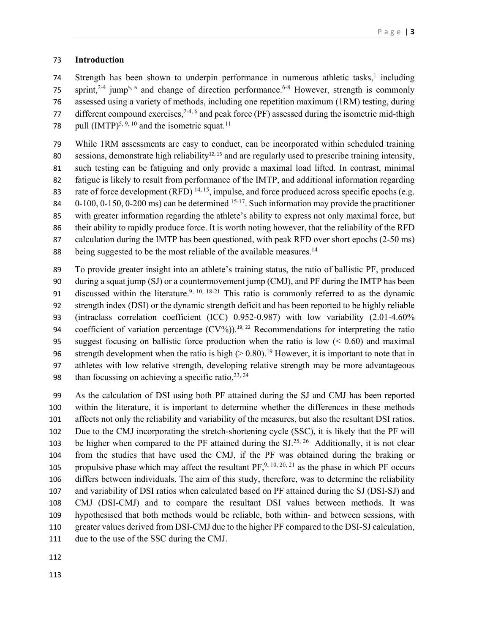### **Introduction**

 Strength has been shown to underpin performance in numerous athletic tasks,<sup>1</sup> including 75 sprint,<sup>2-4</sup> jump<sup>5, 6</sup> and change of direction performance.<sup>6-8</sup> However, strength is commonly assessed using a variety of methods, including one repetition maximum (1RM) testing, during 77 different compound exercises,  $2^{4,6}$  and peak force (PF) assessed during the isometric mid-thigh 78 pull  $(IMTP)^{5, 9, 10}$  and the isometric squat.<sup>11</sup>

 While 1RM assessments are easy to conduct, can be incorporated within scheduled training sessions, demonstrate high reliability<sup>12, 13</sup> and are regularly used to prescribe training intensity, such testing can be fatiguing and only provide a maximal load lifted. In contrast, minimal fatigue is likely to result from performance of the IMTP, and additional information regarding 83 rate of force development (RFD)  $^{14, 15}$ , impulse, and force produced across specific epochs (e.g.  $0-100$ ,  $0-150$ ,  $0-200$  ms) can be determined  $15-17$ . Such information may provide the practitioner with greater information regarding the athlete's ability to express not only maximal force, but their ability to rapidly produce force. It is worth noting however, that the reliability of the RFD calculation during the IMTP has been questioned, with peak RFD over short epochs (2-50 ms) 88 being suggested to be the most reliable of the available measures.<sup>14</sup>

- To provide greater insight into an athlete's training status, the ratio of ballistic PF, produced during a squat jump (SJ) or a countermovement jump (CMJ), and PF during the IMTP has been 91 discussed within the literature.<sup>9, 10, 18-21</sup> This ratio is commonly referred to as the dynamic strength index (DSI) or the dynamic strength deficit and has been reported to be highly reliable (intraclass correlation coefficient (ICC) 0.952-0.987) with low variability (2.01-4.60% 94 coefficient of variation percentage  $(CV%)$ .<sup>19, 22</sup> Recommendations for interpreting the ratio 95 suggest focusing on ballistic force production when the ratio is low  $(0.60)$  and maximal 96 strength development when the ratio is high  $(> 0.80)$ .<sup>19</sup> However, it is important to note that in athletes with low relative strength, developing relative strength may be more advantageous 98 than focussing on achieving a specific ratio.<sup>23, 24</sup>
- As the calculation of DSI using both PF attained during the SJ and CMJ has been reported within the literature, it is important to determine whether the differences in these methods affects not only the reliability and variability of the measures, but also the resultant DSI ratios. Due to the CMJ incorporating the stretch-shortening cycle (SSC), it is likely that the PF will 103 be higher when compared to the PF attained during the  $SI^{25, 26}$  Additionally, it is not clear from the studies that have used the CMJ, if the PF was obtained during the braking or 105 propulsive phase which may affect the resultant  $PF$ , <sup>9, 10, 20, 21</sup> as the phase in which PF occurs differs between individuals. The aim of this study, therefore, was to determine the reliability and variability of DSI ratios when calculated based on PF attained during the SJ (DSI-SJ) and CMJ (DSI-CMJ) and to compare the resultant DSI values between methods. It was hypothesised that both methods would be reliable, both within- and between sessions, with greater values derived from DSI-CMJ due to the higher PF compared to the DSI-SJ calculation, due to the use of the SSC during the CMJ.
-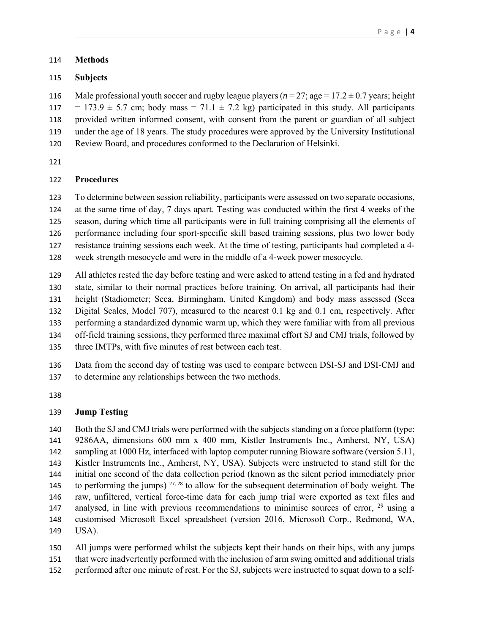### **Methods**

### **Subjects**

116 Male professional youth soccer and rugby league players  $(n = 27;$  age =  $17.2 \pm 0.7$  years; height 117 = 173.9  $\pm$  5.7 cm; body mass = 71.1  $\pm$  7.2 kg) participated in this study. All participants provided written informed consent, with consent from the parent or guardian of all subject under the age of 18 years. The study procedures were approved by the University Institutional Review Board, and procedures conformed to the Declaration of Helsinki.

# **Procedures**

 To determine between session reliability, participants were assessed on two separate occasions, at the same time of day, 7 days apart. Testing was conducted within the first 4 weeks of the season, during which time all participants were in full training comprising all the elements of performance including four sport-specific skill based training sessions, plus two lower body resistance training sessions each week. At the time of testing, participants had completed a 4-

week strength mesocycle and were in the middle of a 4-week power mesocycle.

 All athletes rested the day before testing and were asked to attend testing in a fed and hydrated state, similar to their normal practices before training. On arrival, all participants had their height (Stadiometer; Seca, Birmingham, United Kingdom) and body mass assessed (Seca Digital Scales, Model 707), measured to the nearest 0.1 kg and 0.1 cm, respectively. After performing a standardized dynamic warm up, which they were familiar with from all previous off-field training sessions, they performed three maximal effort SJ and CMJ trials, followed by three IMTPs, with five minutes of rest between each test.

 Data from the second day of testing was used to compare between DSI-SJ and DSI-CMJ and to determine any relationships between the two methods.

# **Jump Testing**

 Both the SJ and CMJ trials were performed with the subjects standing on a force platform (type: 9286AA, dimensions 600 mm x 400 mm, Kistler Instruments Inc., Amherst, NY, USA) sampling at 1000 Hz, interfaced with laptop computer running Bioware software (version 5.11, Kistler Instruments Inc., Amherst, NY, USA). Subjects were instructed to stand still for the initial one second of the data collection period (known as the silent period immediately prior 145 to performing the jumps)  $27,28$  to allow for the subsequent determination of body weight. The raw, unfiltered, vertical force-time data for each jump trial were exported as text files and 147 analysed, in line with previous recommendations to minimise sources of error, using a customised Microsoft Excel spreadsheet (version 2016, Microsoft Corp., Redmond, WA, USA).

 All jumps were performed whilst the subjects kept their hands on their hips, with any jumps that were inadvertently performed with the inclusion of arm swing omitted and additional trials performed after one minute of rest. For the SJ, subjects were instructed to squat down to a self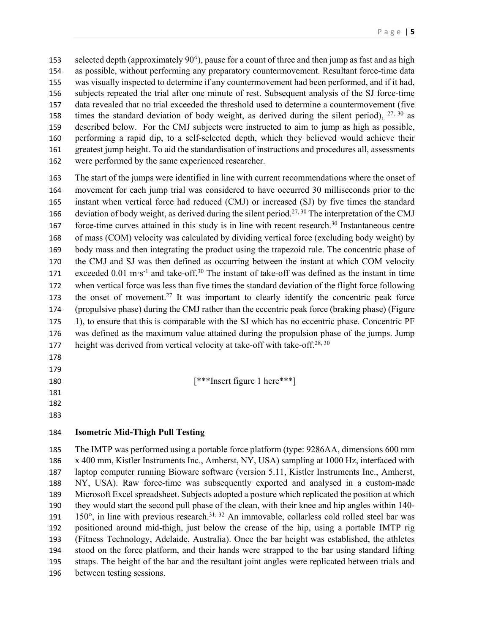selected depth (approximately 90°), pause for a count of three and then jump as fast and as high as possible, without performing any preparatory countermovement. Resultant force-time data was visually inspected to determine if any countermovement had been performed, and if it had, subjects repeated the trial after one minute of rest. Subsequent analysis of the SJ force-time data revealed that no trial exceeded the threshold used to determine a countermovement (five 158 times the standard deviation of body weight, as derived during the silent period),  $27,30$  as described below. For the CMJ subjects were instructed to aim to jump as high as possible, performing a rapid dip, to a self-selected depth, which they believed would achieve their greatest jump height. To aid the standardisation of instructions and procedures all, assessments were performed by the same experienced researcher.

 The start of the jumps were identified in line with current recommendations where the onset of movement for each jump trial was considered to have occurred 30 milliseconds prior to the instant when vertical force had reduced (CMJ) or increased (SJ) by five times the standard 166 deviation of body weight, as derived during the silent period.<sup>27, 30</sup> The interpretation of the CMJ force-time curves attained in this study is in line with recent research.<sup>30</sup> Instantaneous centre of mass (COM) velocity was calculated by dividing vertical force (excluding body weight) by body mass and then integrating the product using the trapezoid rule. The concentric phase of the CMJ and SJ was then defined as occurring between the instant at which COM velocity 171 exceeded  $0.01 \text{ m} \cdot \text{s}^{-1}$  and take-off.<sup>30</sup> The instant of take-off was defined as the instant in time when vertical force was less than five times the standard deviation of the flight force following 173 the onset of movement.<sup>27</sup> It was important to clearly identify the concentric peak force (propulsive phase) during the CMJ rather than the eccentric peak force (braking phase) (Figure 175 1), to ensure that this is comparable with the SJ which has no eccentric phase. Concentric PF was defined as the maximum value attained during the propulsion phase of the jumps. Jump 177 height was derived from vertical velocity at take-off with take-off.<sup>28, 30</sup>

- 
- 
- [\*\*\*Insert figure 1 here\*\*\*]
- 
- 

# **Isometric Mid-Thigh Pull Testing**

 The IMTP was performed using a portable force platform (type: 9286AA, dimensions 600 mm x 400 mm, Kistler Instruments Inc., Amherst, NY, USA) sampling at 1000 Hz, interfaced with laptop computer running Bioware software (version 5.11, Kistler Instruments Inc., Amherst, NY, USA). Raw force-time was subsequently exported and analysed in a custom-made Microsoft Excel spreadsheet. Subjects adopted a posture which replicated the position at which they would start the second pull phase of the clean, with their knee and hip angles within 140- 191 150 $^{\circ}$ , in line with previous research.<sup>31, 32</sup> An immovable, collarless cold rolled steel bar was positioned around mid-thigh, just below the crease of the hip, using a portable IMTP rig (Fitness Technology, Adelaide, Australia). Once the bar height was established, the athletes stood on the force platform, and their hands were strapped to the bar using standard lifting straps. The height of the bar and the resultant joint angles were replicated between trials and between testing sessions.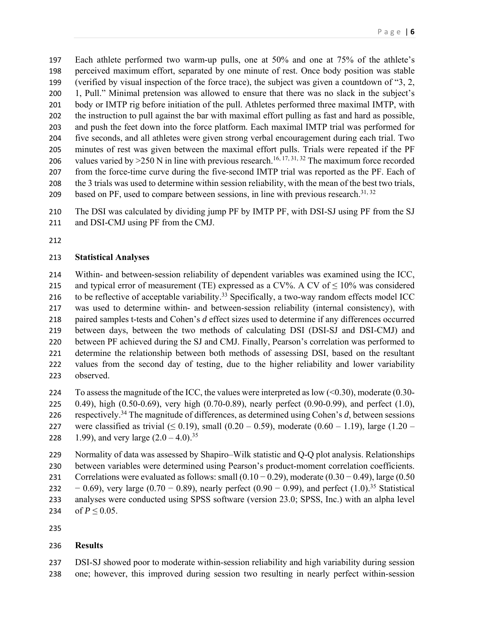Each athlete performed two warm-up pulls, one at 50% and one at 75% of the athlete's perceived maximum effort, separated by one minute of rest. Once body position was stable (verified by visual inspection of the force trace), the subject was given a countdown of "3, 2, 1, Pull." Minimal pretension was allowed to ensure that there was no slack in the subject's body or IMTP rig before initiation of the pull. Athletes performed three maximal IMTP, with the instruction to pull against the bar with maximal effort pulling as fast and hard as possible, and push the feet down into the force platform. Each maximal IMTP trial was performed for five seconds, and all athletes were given strong verbal encouragement during each trial. Two minutes of rest was given between the maximal effort pulls. Trials were repeated if the PF 206 values varied by  $>$  250 N in line with previous research.<sup>16, 17, 31, 32</sup> The maximum force recorded from the force-time curve during the five-second IMTP trial was reported as the PF. Each of the 3 trials was used to determine within session reliability, with the mean of the best two trials, based on PF, used to compare between sessions, in line with previous research.<sup>31, 32</sup>

 The DSI was calculated by dividing jump PF by IMTP PF, with DSI-SJ using PF from the SJ and DSI-CMJ using PF from the CMJ.

#### **Statistical Analyses**

 Within- and between-session reliability of dependent variables was examined using the ICC, 215 and typical error of measurement (TE) expressed as a CV%. A CV of  $\leq 10\%$  was considered 216 to be reflective of acceptable variability.<sup>33</sup> Specifically, a two-way random effects model ICC was used to determine within- and between-session reliability (internal consistency), with paired samples t-tests and Cohen's *d* effect sizes used to determine if any differences occurred between days, between the two methods of calculating DSI (DSI-SJ and DSI-CMJ) and between PF achieved during the SJ and CMJ. Finally, Pearson's correlation was performed to determine the relationship between both methods of assessing DSI, based on the resultant values from the second day of testing, due to the higher reliability and lower variability observed.

- 224 To assess the magnitude of the ICC, the values were interpreted as low  $( $0.30$ ), moderate (0.30-$  0.49), high (0.50-0.69), very high (0.70-0.89), nearly perfect (0.90-0.99), and perfect (1.0), respectively.34 The magnitude of differences, as determined using Cohen's *d*, between sessions 227 were classified as trivial  $(\leq 0.19)$ , small  $(0.20 - 0.59)$ , moderate  $(0.60 - 1.19)$ , large  $(1.20 - 0.59)$
- 228 1.99), and very large  $(2.0 4.0)^{35}$

 Normality of data was assessed by Shapiro–Wilk statistic and Q-Q plot analysis. Relationships between variables were determined using Pearson's product-moment correlation coefficients. 231 Correlations were evaluated as follows: small  $(0.10 - 0.29)$ , moderate  $(0.30 - 0.49)$ , large  $(0.50$ 232 − 0.69), very large (0.70 − 0.89), nearly perfect (0.90 − 0.99), and perfect (1.0).<sup>35</sup> Statistical analyses were conducted using SPSS software (version 23.0; SPSS, Inc.) with an alpha level 234 of  $P \le 0.05$ .

#### **Results**

 DSI-SJ showed poor to moderate within-session reliability and high variability during session one; however, this improved during session two resulting in nearly perfect within-session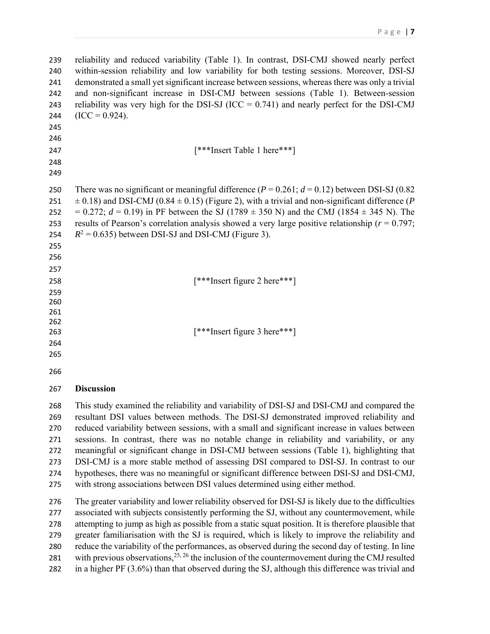reliability and reduced variability (Table 1). In contrast, DSI-CMJ showed nearly perfect within-session reliability and low variability for both testing sessions. Moreover, DSI-SJ demonstrated a small yet significant increase between sessions, whereas there was only a trivial and non-significant increase in DSI-CMJ between sessions (Table 1). Between-session 243 reliability was very high for the DSI-SJ ( $ICC = 0.741$ ) and nearly perfect for the DSI-CMJ 244  $(ICC = 0.924)$ . [\*\*\*Insert Table 1 here\*\*\*] There was no significant or meaningful difference (*P* = 0.261; *d* = 0.12) between DSI-SJ (0.82 251  $\pm$  0.18) and DSI-CMJ (0.84  $\pm$  0.15) (Figure 2), with a trivial and non-significant difference (*P* 252 =  $0.272$ ;  $d = 0.19$ ) in PF between the SJ (1789  $\pm$  350 N) and the CMJ (1854  $\pm$  345 N). The results of Pearson's correlation analysis showed a very large positive relationship (*r* = 0.797; 254  $R^2 = 0.635$ ) between DSI-SJ and DSI-CMJ (Figure 3). [\*\*\*Insert figure 2 here\*\*\*] [\*\*\*Insert figure 3 here\*\*\*] **Discussion** 

 This study examined the reliability and variability of DSI-SJ and DSI-CMJ and compared the resultant DSI values between methods. The DSI-SJ demonstrated improved reliability and reduced variability between sessions, with a small and significant increase in values between sessions. In contrast, there was no notable change in reliability and variability, or any meaningful or significant change in DSI-CMJ between sessions (Table 1), highlighting that DSI-CMJ is a more stable method of assessing DSI compared to DSI-SJ. In contrast to our hypotheses, there was no meaningful or significant difference between DSI-SJ and DSI-CMJ, with strong associations between DSI values determined using either method.

 The greater variability and lower reliability observed for DSI-SJ is likely due to the difficulties associated with subjects consistently performing the SJ, without any countermovement, while attempting to jump as high as possible from a static squat position. It is therefore plausible that greater familiarisation with the SJ is required, which is likely to improve the reliability and reduce the variability of the performances, as observed during the second day of testing. In line 281 with previous observations,  $25, 26$  the inclusion of the countermovement during the CMJ resulted in a higher PF (3.6%) than that observed during the SJ, although this difference was trivial and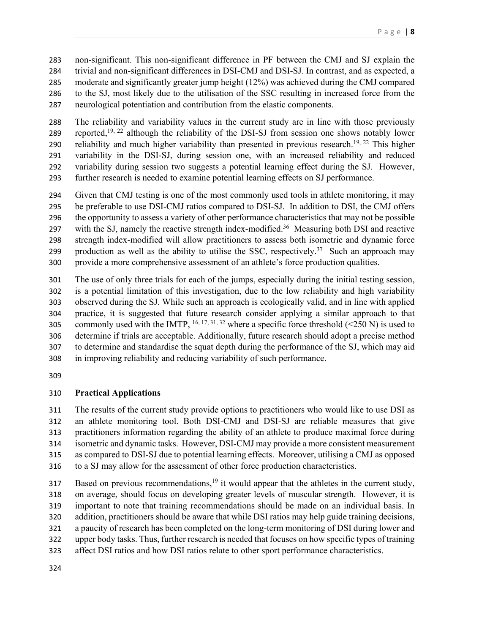non-significant. This non-significant difference in PF between the CMJ and SJ explain the trivial and non-significant differences in DSI-CMJ and DSI-SJ. In contrast, and as expected, a moderate and significantly greater jump height (12%) was achieved during the CMJ compared to the SJ, most likely due to the utilisation of the SSC resulting in increased force from the neurological potentiation and contribution from the elastic components.

 The reliability and variability values in the current study are in line with those previously 289 reported,<sup>19, 22</sup> although the reliability of the DSI-SJ from session one shows notably lower 290 reliability and much higher variability than presented in previous research.<sup>19, 22</sup> This higher variability in the DSI-SJ, during session one, with an increased reliability and reduced variability during session two suggests a potential learning effect during the SJ. However, further research is needed to examine potential learning effects on SJ performance.

 Given that CMJ testing is one of the most commonly used tools in athlete monitoring, it may be preferable to use DSI-CMJ ratios compared to DSI-SJ. In addition to DSI, the CMJ offers the opportunity to assess a variety of other performance characteristics that may not be possible 297 with the SJ, namely the reactive strength index-modified.<sup>36</sup> Measuring both DSI and reactive strength index-modified will allow practitioners to assess both isometric and dynamic force 299 production as well as the ability to utilise the SSC, respectively.<sup>37</sup> Such an approach may provide a more comprehensive assessment of an athlete's force production qualities.

 The use of only three trials for each of the jumps, especially during the initial testing session, is a potential limitation of this investigation, due to the low reliability and high variability observed during the SJ. While such an approach is ecologically valid, and in line with applied practice, it is suggested that future research consider applying a similar approach to that 305 commonly used with the IMTP, <sup>16, 17, 31, 32</sup> where a specific force threshold (<250 N) is used to determine if trials are acceptable. Additionally, future research should adopt a precise method to determine and standardise the squat depth during the performance of the SJ, which may aid in improving reliability and reducing variability of such performance.

# **Practical Applications**

 The results of the current study provide options to practitioners who would like to use DSI as an athlete monitoring tool. Both DSI-CMJ and DSI-SJ are reliable measures that give practitioners information regarding the ability of an athlete to produce maximal force during isometric and dynamic tasks. However, DSI-CMJ may provide a more consistent measurement as compared to DSI-SJ due to potential learning effects. Moreover, utilising a CMJ as opposed to a SJ may allow for the assessment of other force production characteristics.

 $Based$  on previous recommendations,<sup>19</sup> it would appear that the athletes in the current study, on average, should focus on developing greater levels of muscular strength. However, it is important to note that training recommendations should be made on an individual basis. In addition, practitioners should be aware that while DSI ratios may help guide training decisions, a paucity of research has been completed on the long-term monitoring of DSI during lower and upper body tasks. Thus, further research is needed that focuses on how specific types of training affect DSI ratios and how DSI ratios relate to other sport performance characteristics.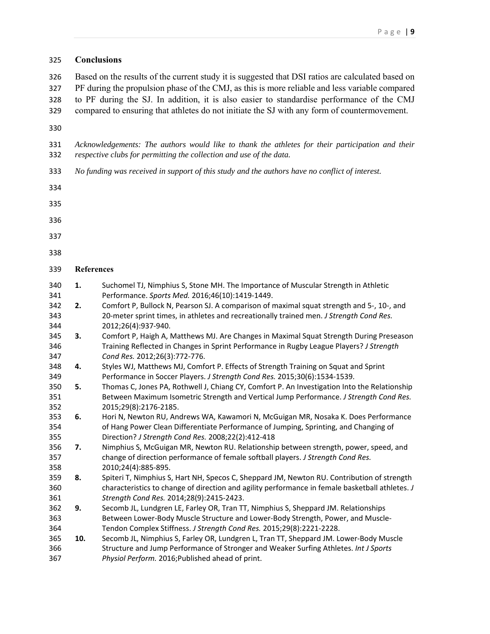| 325                      | <b>Conclusions</b>                                                                                                                                                                                                                                                                                                                                                                              |                                                                                                 |  |  |
|--------------------------|-------------------------------------------------------------------------------------------------------------------------------------------------------------------------------------------------------------------------------------------------------------------------------------------------------------------------------------------------------------------------------------------------|-------------------------------------------------------------------------------------------------|--|--|
| 326<br>327<br>328<br>329 | Based on the results of the current study it is suggested that DSI ratios are calculated based on<br>PF during the propulsion phase of the CMJ, as this is more reliable and less variable compared<br>to PF during the SJ. In addition, it is also easier to standardise performance of the CMJ<br>compared to ensuring that athletes do not initiate the SJ with any form of countermovement. |                                                                                                 |  |  |
| 330                      |                                                                                                                                                                                                                                                                                                                                                                                                 |                                                                                                 |  |  |
| 331<br>332               | Acknowledgements: The authors would like to thank the athletes for their participation and their<br>respective clubs for permitting the collection and use of the data.                                                                                                                                                                                                                         |                                                                                                 |  |  |
| 333                      | No funding was received in support of this study and the authors have no conflict of interest.                                                                                                                                                                                                                                                                                                  |                                                                                                 |  |  |
| 334                      |                                                                                                                                                                                                                                                                                                                                                                                                 |                                                                                                 |  |  |
| 335                      |                                                                                                                                                                                                                                                                                                                                                                                                 |                                                                                                 |  |  |
| 336                      |                                                                                                                                                                                                                                                                                                                                                                                                 |                                                                                                 |  |  |
| 337                      |                                                                                                                                                                                                                                                                                                                                                                                                 |                                                                                                 |  |  |
| 338                      |                                                                                                                                                                                                                                                                                                                                                                                                 |                                                                                                 |  |  |
| 339                      | <b>References</b>                                                                                                                                                                                                                                                                                                                                                                               |                                                                                                 |  |  |
| 340                      | 1.                                                                                                                                                                                                                                                                                                                                                                                              | Suchomel TJ, Nimphius S, Stone MH. The Importance of Muscular Strength in Athletic              |  |  |
| 341                      |                                                                                                                                                                                                                                                                                                                                                                                                 | Performance. Sports Med. 2016;46(10):1419-1449.                                                 |  |  |
| 342                      | 2.                                                                                                                                                                                                                                                                                                                                                                                              | Comfort P, Bullock N, Pearson SJ. A comparison of maximal squat strength and 5-, 10-, and       |  |  |
| 343                      |                                                                                                                                                                                                                                                                                                                                                                                                 | 20-meter sprint times, in athletes and recreationally trained men. J Strength Cond Res.         |  |  |
| 344                      |                                                                                                                                                                                                                                                                                                                                                                                                 | 2012;26(4):937-940.                                                                             |  |  |
| 345                      | 3.                                                                                                                                                                                                                                                                                                                                                                                              | Comfort P, Haigh A, Matthews MJ. Are Changes in Maximal Squat Strength During Preseason         |  |  |
| 346                      |                                                                                                                                                                                                                                                                                                                                                                                                 | Training Reflected in Changes in Sprint Performance in Rugby League Players? J Strength         |  |  |
| 347                      |                                                                                                                                                                                                                                                                                                                                                                                                 | Cond Res. 2012;26(3):772-776.                                                                   |  |  |
| 348                      | 4.                                                                                                                                                                                                                                                                                                                                                                                              | Styles WJ, Matthews MJ, Comfort P. Effects of Strength Training on Squat and Sprint             |  |  |
| 349                      |                                                                                                                                                                                                                                                                                                                                                                                                 | Performance in Soccer Players. J Strength Cond Res. 2015;30(6):1534-1539.                       |  |  |
| 350                      | 5.                                                                                                                                                                                                                                                                                                                                                                                              | Thomas C, Jones PA, Rothwell J, Chiang CY, Comfort P. An Investigation Into the Relationship    |  |  |
| 351                      |                                                                                                                                                                                                                                                                                                                                                                                                 | Between Maximum Isometric Strength and Vertical Jump Performance. J Strength Cond Res.          |  |  |
| 352                      |                                                                                                                                                                                                                                                                                                                                                                                                 | 2015;29(8):2176-2185.                                                                           |  |  |
| 353                      | 6.                                                                                                                                                                                                                                                                                                                                                                                              | Hori N, Newton RU, Andrews WA, Kawamori N, McGuigan MR, Nosaka K. Does Performance              |  |  |
| 354                      |                                                                                                                                                                                                                                                                                                                                                                                                 | of Hang Power Clean Differentiate Performance of Jumping, Sprinting, and Changing of            |  |  |
| 355                      |                                                                                                                                                                                                                                                                                                                                                                                                 | Direction? J Strength Cond Res. 2008;22(2):412-418                                              |  |  |
| 356                      | 7.                                                                                                                                                                                                                                                                                                                                                                                              | Nimphius S, McGuigan MR, Newton RU. Relationship between strength, power, speed, and            |  |  |
| 357                      |                                                                                                                                                                                                                                                                                                                                                                                                 | change of direction performance of female softball players. J Strength Cond Res.                |  |  |
| 358                      |                                                                                                                                                                                                                                                                                                                                                                                                 | 2010;24(4):885-895.                                                                             |  |  |
| 359                      | 8.                                                                                                                                                                                                                                                                                                                                                                                              | Spiteri T, Nimphius S, Hart NH, Specos C, Sheppard JM, Newton RU. Contribution of strength      |  |  |
| 360                      |                                                                                                                                                                                                                                                                                                                                                                                                 | characteristics to change of direction and agility performance in female basketball athletes. J |  |  |
| 361                      |                                                                                                                                                                                                                                                                                                                                                                                                 | Strength Cond Res. 2014;28(9):2415-2423.                                                        |  |  |
| 362                      | 9.                                                                                                                                                                                                                                                                                                                                                                                              | Secomb JL, Lundgren LE, Farley OR, Tran TT, Nimphius S, Sheppard JM. Relationships              |  |  |
| 363                      |                                                                                                                                                                                                                                                                                                                                                                                                 | Between Lower-Body Muscle Structure and Lower-Body Strength, Power, and Muscle-                 |  |  |
| 364                      |                                                                                                                                                                                                                                                                                                                                                                                                 | Tendon Complex Stiffness. J Strength Cond Res. 2015;29(8):2221-2228.                            |  |  |
| 365                      | 10.                                                                                                                                                                                                                                                                                                                                                                                             | Secomb JL, Nimphius S, Farley OR, Lundgren L, Tran TT, Sheppard JM. Lower-Body Muscle           |  |  |
| 366                      |                                                                                                                                                                                                                                                                                                                                                                                                 | Structure and Jump Performance of Stronger and Weaker Surfing Athletes. Int J Sports            |  |  |
| 367                      |                                                                                                                                                                                                                                                                                                                                                                                                 | Physiol Perform. 2016; Published ahead of print.                                                |  |  |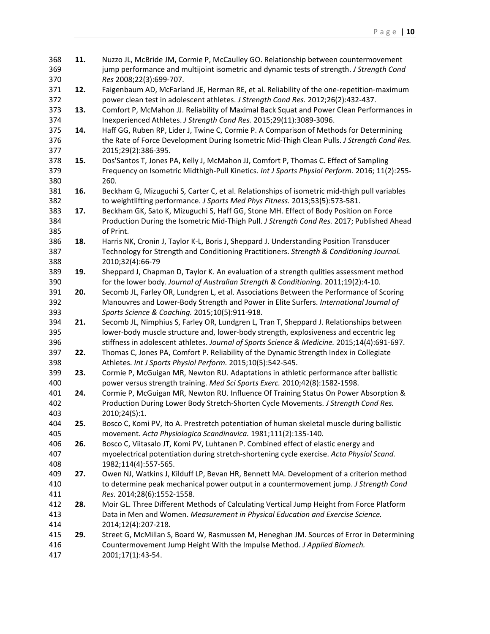| 368 | 11. | Nuzzo JL, McBride JM, Cormie P, McCaulley GO. Relationship between countermovement            |
|-----|-----|-----------------------------------------------------------------------------------------------|
| 369 |     | jump performance and multijoint isometric and dynamic tests of strength. J Strength Cond      |
| 370 |     | Res 2008;22(3):699-707.                                                                       |
| 371 | 12. | Faigenbaum AD, McFarland JE, Herman RE, et al. Reliability of the one-repetition-maximum      |
| 372 |     | power clean test in adolescent athletes. J Strength Cond Res. 2012;26(2):432-437.             |
| 373 | 13. | Comfort P, McMahon JJ. Reliability of Maximal Back Squat and Power Clean Performances in      |
| 374 |     | Inexperienced Athletes. J Strength Cond Res. 2015;29(11):3089-3096.                           |
| 375 | 14. | Haff GG, Ruben RP, Lider J, Twine C, Cormie P. A Comparison of Methods for Determining        |
| 376 |     | the Rate of Force Development During Isometric Mid-Thigh Clean Pulls. J Strength Cond Res.    |
| 377 |     | 2015;29(2):386-395.                                                                           |
| 378 | 15. | Dos'Santos T, Jones PA, Kelly J, McMahon JJ, Comfort P, Thomas C. Effect of Sampling          |
| 379 |     | Frequency on Isometric Midthigh-Pull Kinetics. Int J Sports Physiol Perform. 2016; 11(2):255- |
| 380 |     | 260.                                                                                          |
| 381 | 16. | Beckham G, Mizuguchi S, Carter C, et al. Relationships of isometric mid-thigh pull variables  |
| 382 |     | to weightlifting performance. J Sports Med Phys Fitness. 2013;53(5):573-581.                  |
| 383 | 17. | Beckham GK, Sato K, Mizuguchi S, Haff GG, Stone MH. Effect of Body Position on Force          |
| 384 |     | Production During the Isometric Mid-Thigh Pull. J Strength Cond Res. 2017; Published Ahead    |
| 385 |     | of Print.                                                                                     |
| 386 | 18. | Harris NK, Cronin J, Taylor K-L, Boris J, Sheppard J. Understanding Position Transducer       |
| 387 |     | Technology for Strength and Conditioning Practitioners. Strength & Conditioning Journal.      |
| 388 |     | 2010;32(4):66-79                                                                              |
| 389 | 19. | Sheppard J, Chapman D, Taylor K. An evaluation of a strength qulities assessment method       |
| 390 |     | for the lower body. Journal of Australian Strength & Conditioning. 2011;19(2):4-10.           |
| 391 | 20. | Secomb JL, Farley OR, Lundgren L, et al. Associations Between the Performance of Scoring      |
| 392 |     | Manouvres and Lower-Body Strength and Power in Elite Surfers. International Journal of        |
| 393 |     | Sports Science & Coaching. 2015;10(5):911-918.                                                |
| 394 | 21. | Secomb JL, Nimphius S, Farley OR, Lundgren L, Tran T, Sheppard J. Relationships between       |
| 395 |     | lower-body muscle structure and, lower-body strength, explosiveness and eccentric leg         |
| 396 |     | stiffness in adolescent athletes. Journal of Sports Science & Medicine. 2015;14(4):691-697.   |
| 397 | 22. | Thomas C, Jones PA, Comfort P. Reliability of the Dynamic Strength Index in Collegiate        |
| 398 |     | Athletes. Int J Sports Physiol Perform. 2015;10(5):542-545.                                   |
| 399 | 23. | Cormie P, McGuigan MR, Newton RU. Adaptations in athletic performance after ballistic         |
| 400 |     | power versus strength training. Med Sci Sports Exerc. 2010;42(8):1582-1598.                   |
| 401 | 24. | Cormie P, McGuigan MR, Newton RU. Influence Of Training Status On Power Absorption &          |
| 402 |     | Production During Lower Body Stretch-Shorten Cycle Movements. J Strength Cond Res.            |
| 403 |     | 2010;24(S):1.                                                                                 |
| 404 | 25. | Bosco C, Komi PV, Ito A. Prestretch potentiation of human skeletal muscle during ballistic    |
| 405 |     | movement. Acta Physiologica Scandinavica. 1981;111(2):135-140.                                |
| 406 | 26. | Bosco C, Viitasalo JT, Komi PV, Luhtanen P. Combined effect of elastic energy and             |
| 407 |     | myoelectrical potentiation during stretch-shortening cycle exercise. Acta Physiol Scand.      |
| 408 |     | 1982;114(4):557-565.                                                                          |
| 409 | 27. | Owen NJ, Watkins J, Kilduff LP, Bevan HR, Bennett MA. Development of a criterion method       |
| 410 |     | to determine peak mechanical power output in a countermovement jump. J Strength Cond          |
| 411 |     | Res. 2014;28(6):1552-1558.                                                                    |
| 412 | 28. | Moir GL. Three Different Methods of Calculating Vertical Jump Height from Force Platform      |
| 413 |     | Data in Men and Women. Measurement in Physical Education and Exercise Science.                |
| 414 |     | 2014;12(4):207-218.                                                                           |
| 415 | 29. | Street G, McMillan S, Board W, Rasmussen M, Heneghan JM. Sources of Error in Determining      |
| 416 |     | Countermovement Jump Height With the Impulse Method. J Applied Biomech.                       |
| 417 |     | 2001;17(1):43-54.                                                                             |
|     |     |                                                                                               |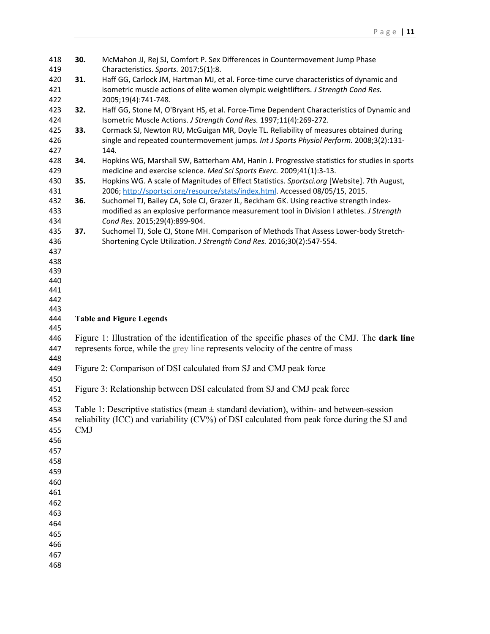| 418 | 30.        | McMahon JJ, Rej SJ, Comfort P. Sex Differences in Countermovement Jump Phase                  |
|-----|------------|-----------------------------------------------------------------------------------------------|
| 419 |            | Characteristics. Sports. 2017;5(1):8.                                                         |
| 420 | 31.        | Haff GG, Carlock JM, Hartman MJ, et al. Force-time curve characteristics of dynamic and       |
| 421 |            | isometric muscle actions of elite women olympic weightlifters. J Strength Cond Res.           |
| 422 |            | 2005;19(4):741-748.                                                                           |
| 423 | 32.        | Haff GG, Stone M, O'Bryant HS, et al. Force-Time Dependent Characteristics of Dynamic and     |
| 424 |            | Isometric Muscle Actions. J Strength Cond Res. 1997;11(4):269-272.                            |
| 425 | 33.        | Cormack SJ, Newton RU, McGuigan MR, Doyle TL. Reliability of measures obtained during         |
| 426 |            | single and repeated countermovement jumps. Int J Sports Physiol Perform. 2008;3(2):131-       |
| 427 |            | 144.                                                                                          |
| 428 | 34.        | Hopkins WG, Marshall SW, Batterham AM, Hanin J. Progressive statistics for studies in sports  |
| 429 |            | medicine and exercise science. Med Sci Sports Exerc. 2009;41(1):3-13.                         |
| 430 | 35.        | Hopkins WG. A scale of Magnitudes of Effect Statistics. Sportsci.org [Website]. 7th August,   |
| 431 |            | 2006; http://sportsci.org/resource/stats/index.html Accessed 08/05/15, 2015.                  |
| 432 | 36.        | Suchomel TJ, Bailey CA, Sole CJ, Grazer JL, Beckham GK. Using reactive strength index-        |
| 433 |            | modified as an explosive performance measurement tool in Division I athletes. J Strength      |
| 434 |            | Cond Res. 2015;29(4):899-904.                                                                 |
| 435 | 37.        | Suchomel TJ, Sole CJ, Stone MH. Comparison of Methods That Assess Lower-body Stretch-         |
| 436 |            | Shortening Cycle Utilization. J Strength Cond Res. 2016;30(2):547-554.                        |
| 437 |            |                                                                                               |
| 438 |            |                                                                                               |
| 439 |            |                                                                                               |
| 440 |            |                                                                                               |
| 441 |            |                                                                                               |
| 442 |            |                                                                                               |
|     |            |                                                                                               |
| 443 |            |                                                                                               |
| 444 |            | <b>Table and Figure Legends</b>                                                               |
| 445 |            |                                                                                               |
| 446 |            | Figure 1: Illustration of the identification of the specific phases of the CMJ. The dark line |
| 447 |            | represents force, while the grey line represents velocity of the centre of mass               |
| 448 |            |                                                                                               |
| 449 |            | Figure 2: Comparison of DSI calculated from SJ and CMJ peak force                             |
| 450 |            |                                                                                               |
| 451 |            | Figure 3: Relationship between DSI calculated from SJ and CMJ peak force                      |
| 452 |            |                                                                                               |
| 453 |            | Table 1: Descriptive statistics (mean $\pm$ standard deviation), within- and between-session  |
| 454 |            | reliability (ICC) and variability (CV%) of DSI calculated from peak force during the SJ and   |
| 455 | <b>CMJ</b> |                                                                                               |
| 456 |            |                                                                                               |
| 457 |            |                                                                                               |
| 458 |            |                                                                                               |
| 459 |            |                                                                                               |
| 460 |            |                                                                                               |
| 461 |            |                                                                                               |
| 462 |            |                                                                                               |
| 463 |            |                                                                                               |
| 464 |            |                                                                                               |
| 465 |            |                                                                                               |
| 466 |            |                                                                                               |
| 467 |            |                                                                                               |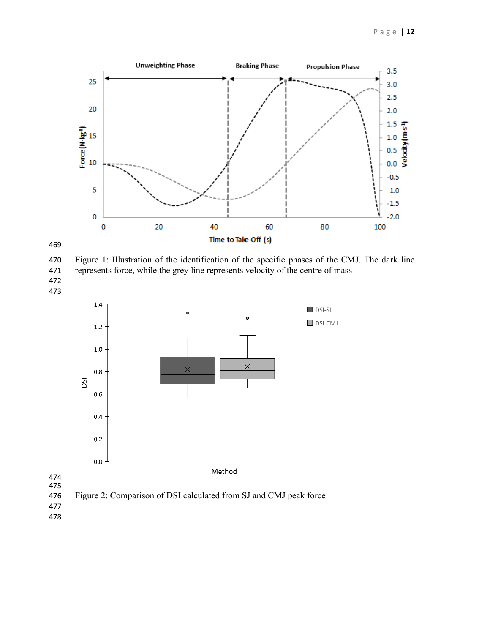



 Figure 1: Illustration of the identification of the specific phases of the CMJ. The dark line represents force, while the grey line represents velocity of the centre of mass 



Figure 2: Comparison of DSI calculated from SJ and CMJ peak force